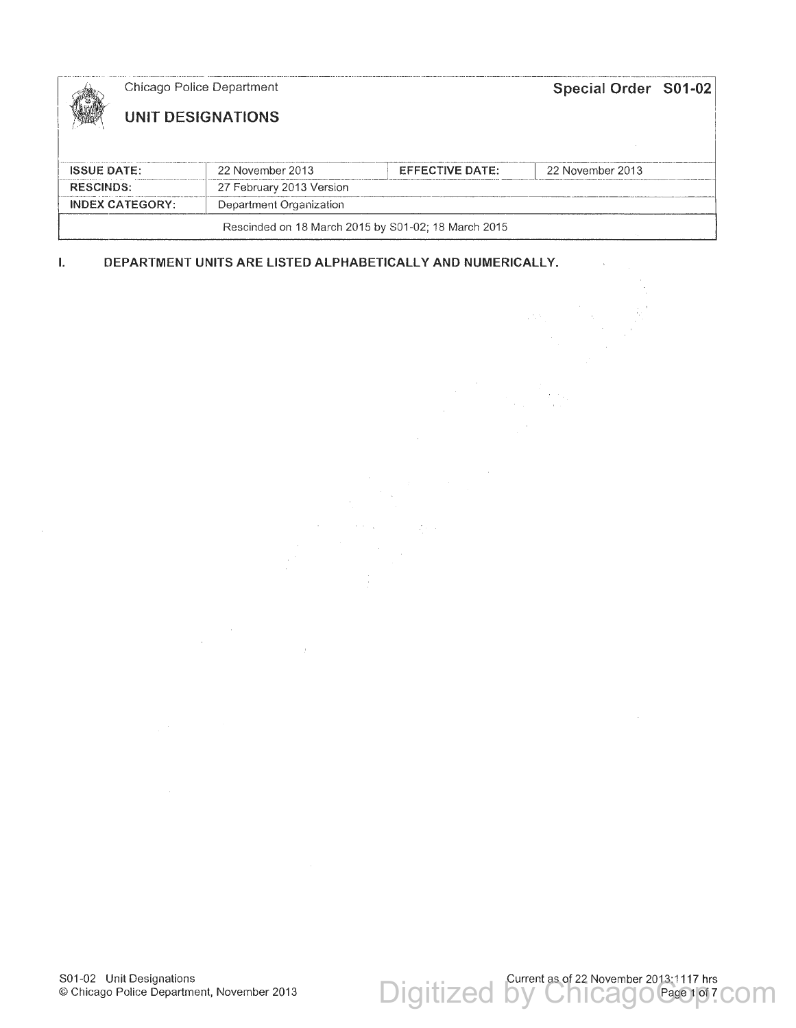|                                                     |  | Chicago Police Department |                        | Special Order S01-02 |  |
|-----------------------------------------------------|--|---------------------------|------------------------|----------------------|--|
|                                                     |  | UNIT DESIGNATIONS         |                        |                      |  |
|                                                     |  |                           |                        |                      |  |
| <b>ISSUE DATE:</b>                                  |  | 22 November 2013          | <b>EFFECTIVE DATE:</b> | 22 November 2013     |  |
| <b>RESCINDS:</b>                                    |  | 27 February 2013 Version  |                        |                      |  |
| <b>INDEX CATEGORY:</b>                              |  | Department Organization   |                        |                      |  |
| Rescinded on 18 March 2015 by S01-02; 18 March 2015 |  |                           |                        |                      |  |

 $\frac{1}{2} \frac{1}{2} \frac{1}{2}$ 

**I. DEPARTMENT UNITS ARE LISTED ALPHABETICALLY AND NUMERICALLY.** 

 $\bar{z}$ 

Digitized by ChicagoCageno7com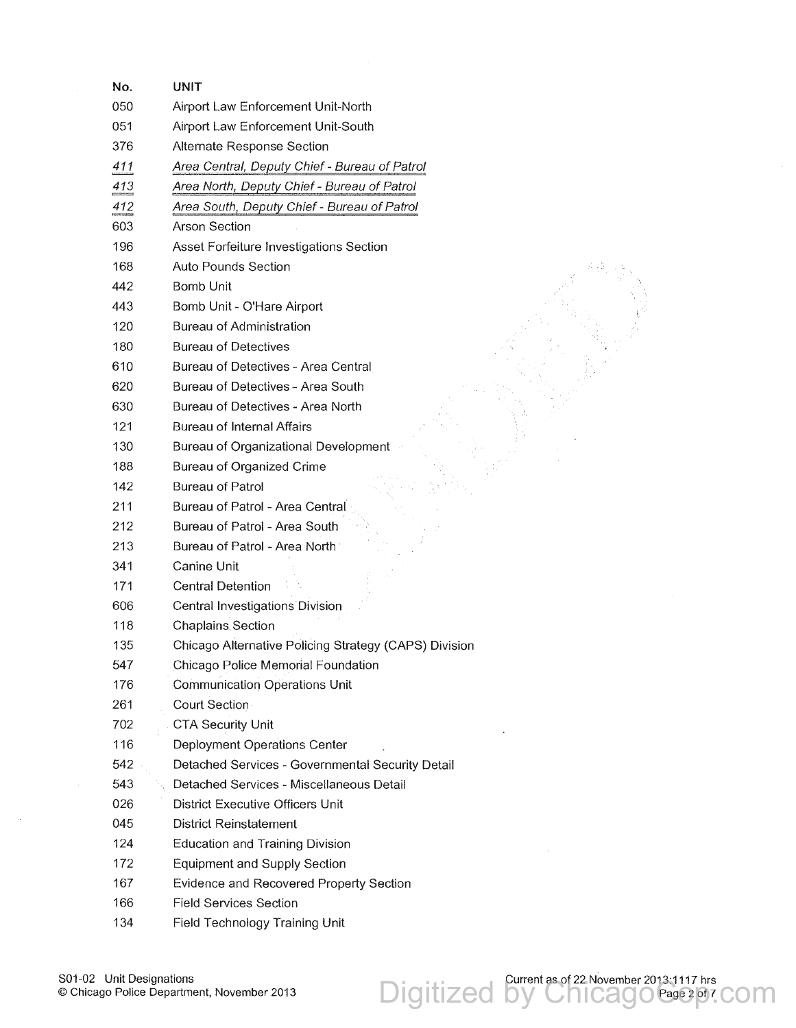| No.             | UNIT                                                  |
|-----------------|-------------------------------------------------------|
| 050             | Airport Law Enforcement Unit-North                    |
| 051             | Airport Law Enforcement Unit-South                    |
| 376             | Alternate Response Section                            |
| 411             | Area Central, Deputy Chief - Bureau of Patrol         |
| $\frac{413}{2}$ | Area North, Deputy Chief - Bureau of Patrol           |
| 412             | Area South, Deputy Chief - Bureau of Patrol           |
| 603             | <b>Arson Section</b>                                  |
| 196             | Asset Forfeiture Investigations Section               |
| 168             | <b>Auto Pounds Section</b>                            |
| 442             | <b>Bomb Unit</b>                                      |
| 443             | Bomb Unit - O'Hare Airport                            |
| 120             | Bureau of Administration                              |
| 180             | <b>Bureau of Detectives</b>                           |
| 610             | Bureau of Detectives - Area Central                   |
| 620             | Bureau of Detectives - Area South                     |
| 630             | Bureau of Detectives - Area North                     |
| 121             | <b>Bureau of Internal Affairs</b>                     |
| 130             | Bureau of Organizational Development                  |
| 188             | Bureau of Organized Crime                             |
| 142             | <b>Bureau of Patrol</b>                               |
| 211             | Bureau of Patrol - Area Central                       |
| 212             | Bureau of Patrol - Area South                         |
| 213             | Bureau of Patrol - Area North                         |
| 341             | <b>Canine Unit</b>                                    |
| 171             | <b>Central Detention</b>                              |
| 606             | Central Investigations Division                       |
| 118             | <b>Chaplains Section</b>                              |
| 135             | Chicago Alternative Policing Strategy (CAPS) Division |
| 547             | Chicago Police Memorial Foundation                    |
| 176             | <b>Communication Operations Unit</b>                  |
| 261             | Court Section                                         |
| 702             | <b>CTA Security Unit</b>                              |
| 116             | Deployment Operations Center                          |
| 542             | Detached Services - Governmental Security Detail      |
| 543             | Detached Services - Miscellaneous Detail              |
| 026             | <b>District Executive Officers Unit</b>               |
| 045             | <b>District Reinstatement</b>                         |
| 124             | <b>Education and Training Division</b>                |
| 172             | Equipment and Supply Section                          |
| 167             | Evidence and Recovered Property Section               |
| 166             | <b>Field Services Section</b>                         |
| 134             | Field Technology Training Unit                        |

 $\sim$ 

Digitized by ChicagoCage pr.com

 $\sim$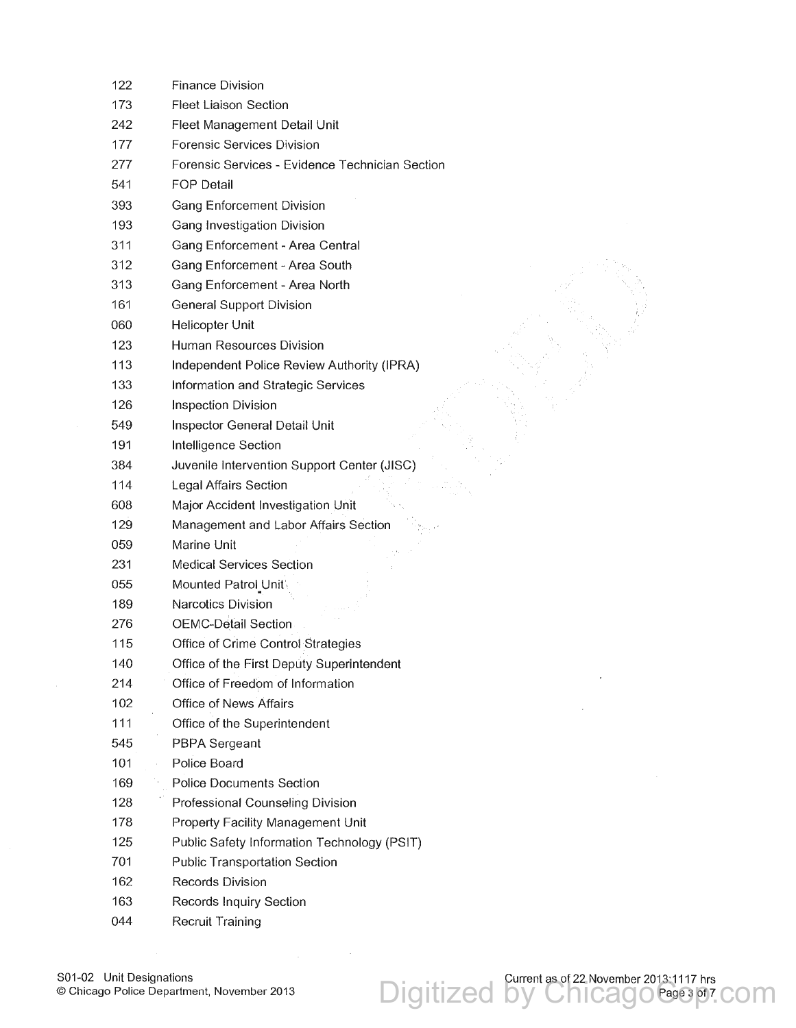| 122 | <b>Finance Division</b>                         |
|-----|-------------------------------------------------|
| 173 | <b>Fleet Liaison Section</b>                    |
| 242 | Fleet Management Detail Unit                    |
| 177 | Forensic Services Division                      |
| 277 | Forensic Services - Evidence Technician Section |
| 541 | <b>FOP Detail</b>                               |
| 393 | <b>Gang Enforcement Division</b>                |
| 193 | Gang Investigation Division                     |
| 311 | Gang Enforcement - Area Central                 |
| 312 | Gang Enforcement - Area South                   |
| 313 | Gang Enforcement - Area North                   |
| 161 | <b>General Support Division</b>                 |
| 060 | Helicopter Unit                                 |
| 123 | Human Resources Division                        |
| 113 | Independent Police Review Authority (IPRA)      |
| 133 | Information and Strategic Services              |
| 126 | <b>Inspection Division</b>                      |
| 549 | Inspector General Detail Unit                   |
| 191 | Intelligence Section                            |
| 384 | Juvenile Intervention Support Center (JISC)     |
| 114 | Legal Affairs Section                           |
| 608 | Major Accident Investigation Unit               |
| 129 | Management and Labor Affairs Section            |
| 059 | Marine Unit                                     |
| 231 | <b>Medical Services Section</b>                 |
| 055 | Mounted Patrol Unit                             |
| 189 | <b>Narcotics Division</b>                       |
| 276 | <b>OEMC-Detail Section</b>                      |
| 115 | Office of Crime Control Strategies              |
| 140 | Office of the First Deputy Superintendent       |
| 214 | Office of Freedom of Information                |
| 102 | Office of News Affairs                          |
| 111 | Office of the Superintendent                    |
| 545 | PBPA Sergeant                                   |
| 101 | Police Board                                    |
| 169 | <b>Police Documents Section</b>                 |
| 128 | Professional Counseling Division                |
| 178 | Property Facility Management Unit               |
| 125 | Public Safety Information Technology (PSIT)     |
| 701 | <b>Public Transportation Section</b>            |
| 162 | Records Division                                |
| 163 | Records Inquiry Section                         |
| 044 | Recruit Training                                |
|     |                                                 |

Digitized by Chicagocase pr.com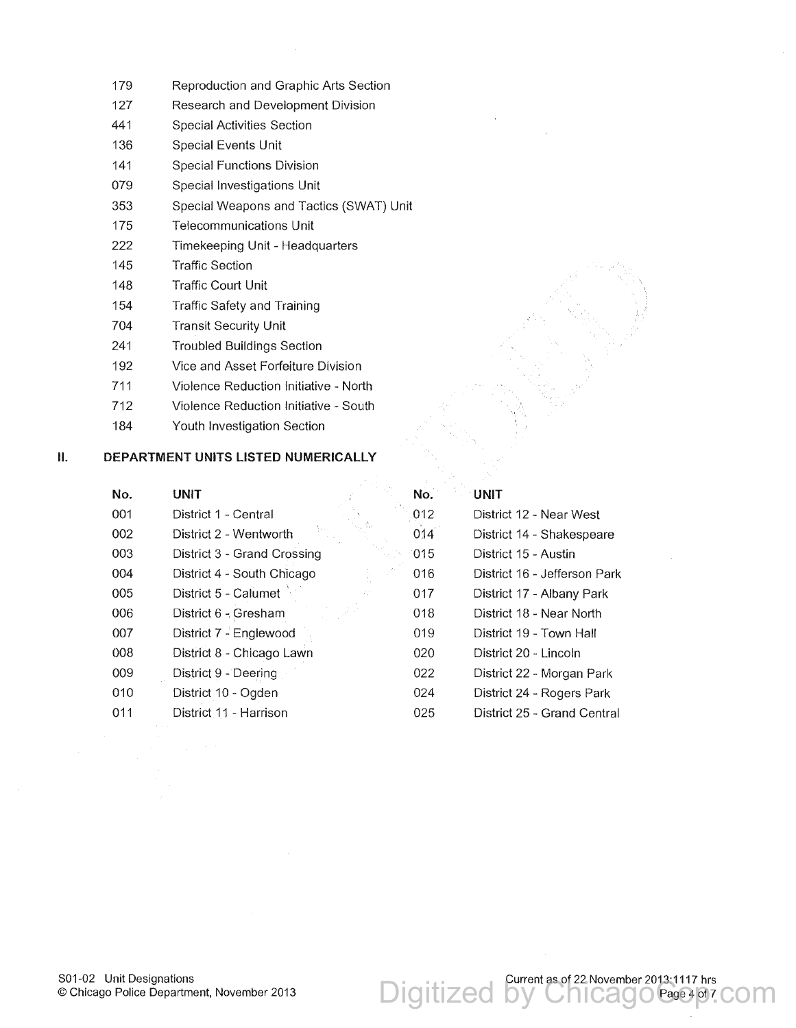- 179 Reproduction and Graphic Arts Section
- 127 Research and Development Division
- 441 Special Activities Section
- 136 Special Events Unit
- 141 Special Functions Division
- 079 Special Investigations Unit
- 353 Special Weapons and Tactics (SWAT) Unit
- 175 Telecommunications Unit
- 222 Timekeeping Unit Headquarters
- 145 Traffic Section
- 148 Traffic Court Unit
- 154 Traffic Safety and Training
- 704 Transit Security Unit
- 241 Troubled Buildings Section
- 192 Vice and Asset Forfeiture Division
- 711 Violence Reduction Initiative North
- 712 Violence Reduction Initiative South
- 184 Youth Investigation Section

## II. **DEPARTMENT UNITS LISTED NUMERICALLY**

| No.<br><b>UNIT</b> |                             | No. | <b>UNIT</b>                  |
|--------------------|-----------------------------|-----|------------------------------|
| 001                | District 1 - Central        | 012 | District 12 - Near West      |
| 002                | District 2 - Wentworth      | 014 | District 14 - Shakespeare    |
| 003                | District 3 - Grand Crossing | 015 | District 15 - Austin         |
| 004                | District 4 - South Chicago  | 016 | District 16 - Jefferson Park |
| 005                | District 5 - Calumet<br>έĖ  | 017 | District 17 - Albany Park    |
| 006                | District 6 - Gresham        | 018 | District 18 - Near North     |
| 007                | District 7 - Englewood      | 019 | District 19 - Town Hall      |
| 008                | District 8 - Chicago Lawn   | 020 | District 20 - Lincoln        |
| 009                | District 9 - Deering        | 022 | District 22 - Morgan Park    |
| 010                | District 10 - Ogden         | 024 | District 24 - Rogers Park    |
| 011                | District 11 - Harrison      | 025 | District 25 - Grand Central  |

Digitized by ChicagoCasePor.com Page 4 of 7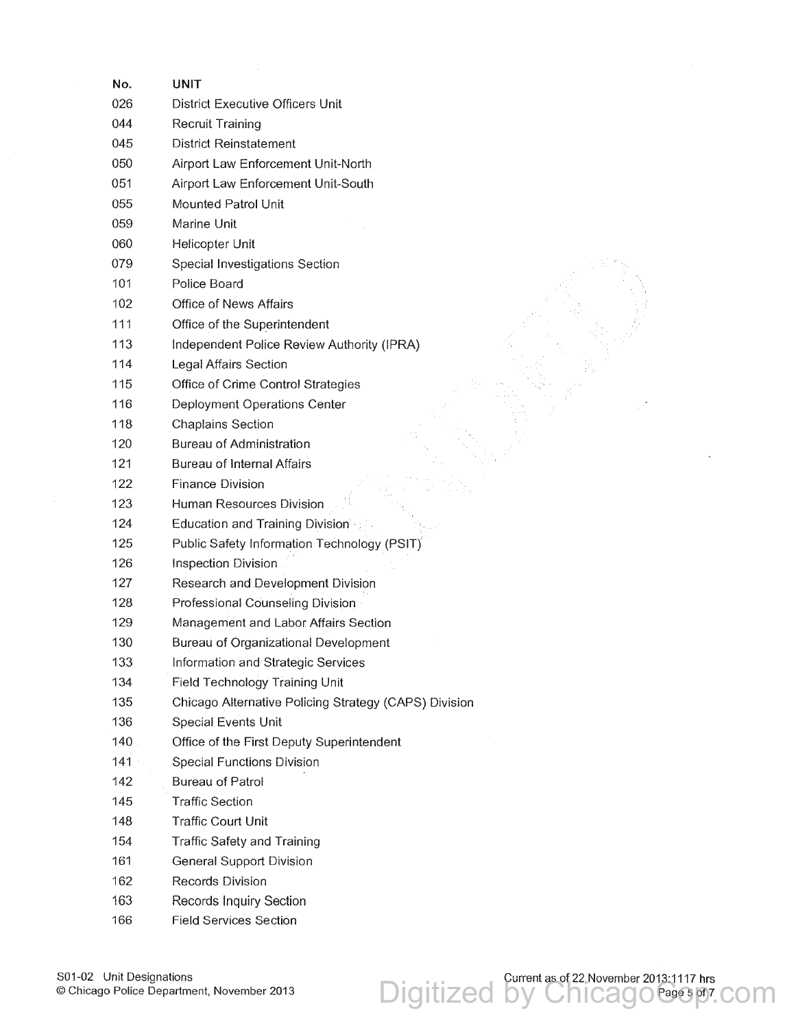| No. | UNIT                                                  |
|-----|-------------------------------------------------------|
| 026 | District Executive Officers Unit                      |
| 044 | Recruit Training                                      |
| 045 | <b>District Reinstatement</b>                         |
| 050 | Airport Law Enforcement Unit-North                    |
| 051 | Airport Law Enforcement Unit-South                    |
| 055 | Mounted Patrol Unit                                   |
| 059 | Marine Unit                                           |
| 060 | Helicopter Unit                                       |
| 079 | Special Investigations Section                        |
| 101 | Police Board                                          |
| 102 | Office of News Affairs                                |
| 111 | Office of the Superintendent                          |
| 113 | Independent Police Review Authority (IPRA)            |
| 114 | Legal Affairs Section                                 |
| 115 | Office of Crime Control Strategies                    |
| 116 | Deployment Operations Center                          |
| 118 | <b>Chaplains Section</b>                              |
| 120 | <b>Bureau of Administration</b>                       |
| 121 | <b>Bureau of Internal Affairs</b>                     |
| 122 | <b>Finance Division</b>                               |
| 123 | Human Resources Division                              |
| 124 | Education and Training Division                       |
| 125 | Public Safety Information Technology (PSIT)           |
| 126 | <b>Inspection Division</b>                            |
| 127 | Research and Development Division                     |
| 128 | Professional Counseling Division                      |
| 129 | Management and Labor Affairs Section                  |
| 130 | <b>Bureau of Organizational Development</b>           |
| 133 | Information and Strategic Services                    |
| 134 | Field Technology Training Unit                        |
| 135 | Chicago Alternative Policing Strategy (CAPS) Division |
| 136 | <b>Special Events Unit</b>                            |
| 140 | Office of the First Deputy Superintendent             |
| 141 | <b>Special Functions Division</b>                     |
| 142 | <b>Bureau of Patrol</b>                               |
| 145 | <b>Traffic Section</b>                                |
| 148 | <b>Traffic Court Unit</b>                             |
| 154 | <b>Traffic Safety and Training</b>                    |
| 161 | <b>General Support Division</b>                       |
| 162 | <b>Records Division</b>                               |
| 163 | <b>Records Inquiry Section</b>                        |
| 166 | <b>Field Services Section</b>                         |
|     |                                                       |

Digitized by Chicagocasespy.com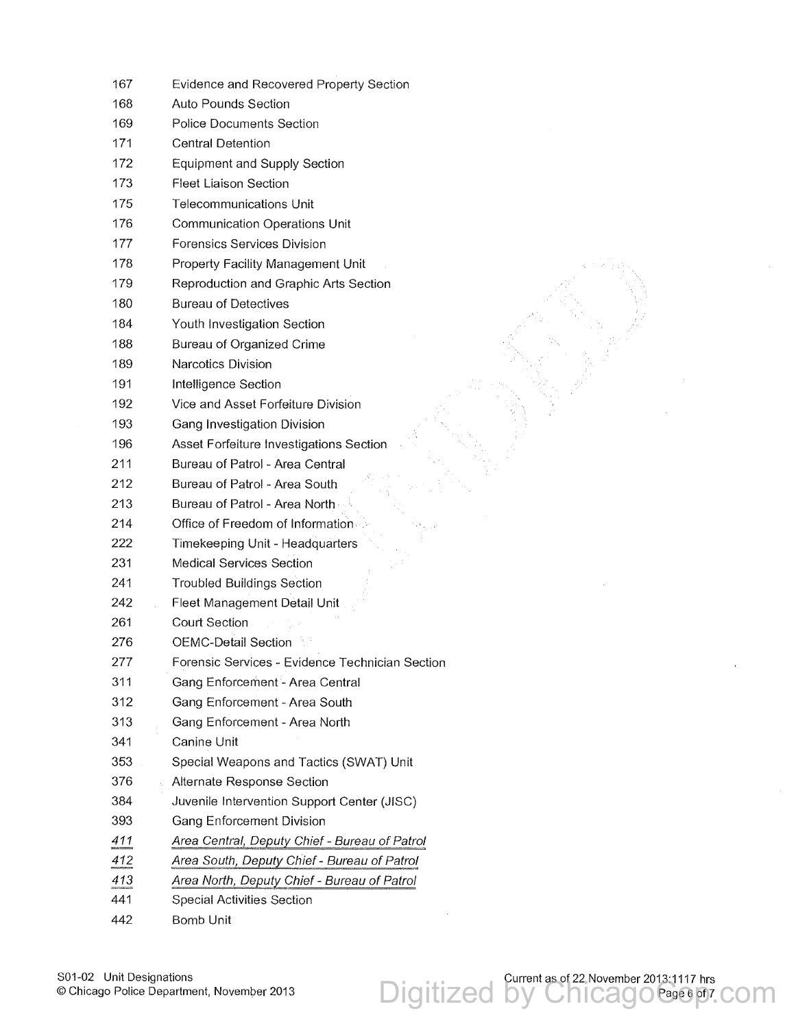| 167 | Evidence and Recovered Property Section         |
|-----|-------------------------------------------------|
| 168 | <b>Auto Pounds Section</b>                      |
| 169 | <b>Police Documents Section</b>                 |
| 171 | <b>Central Detention</b>                        |
| 172 | <b>Equipment and Supply Section</b>             |
| 173 | <b>Fleet Liaison Section</b>                    |
| 175 | <b>Telecommunications Unit</b>                  |
| 176 | <b>Communication Operations Unit</b>            |
| 177 | Forensics Services Division                     |
| 178 | Property Facility Management Unit               |
| 179 | Reproduction and Graphic Arts Section           |
| 180 | <b>Bureau of Detectives</b>                     |
| 184 | Youth Investigation Section                     |
| 188 | <b>Bureau of Organized Crime</b>                |
| 189 | Narcotics Division                              |
| 191 | Intelligence Section                            |
| 192 | Vice and Asset Forfeiture Division              |
| 193 | Gang Investigation Division                     |
| 196 | Asset Forfeiture Investigations Section         |
| 211 | Bureau of Patrol - Area Central                 |
| 212 | Bureau of Patrol - Area South                   |
| 213 | Bureau of Patrol - Area North                   |
| 214 | Office of Freedom of Information                |
| 222 | Timekeeping Unit - Headquarters                 |
| 231 | <b>Medical Services Section</b>                 |
| 241 | <b>Troubled Buildings Section</b>               |
| 242 | Fleet Management Detail Unit                    |
| 261 | <b>Court Section</b>                            |
| 276 | <b>OEMC-Detail Section</b>                      |
| 277 | Forensic Services - Evidence Technician Section |
| 311 | Gang Enforcement - Area Central                 |
| 312 | Gang Enforcement - Area South                   |
| 313 | Gang Enforcement - Area North                   |
| 341 | Canine Unit                                     |
| 353 | Special Weapons and Tactics (SWAT) Unit         |
| 376 | Alternate Response Section                      |
| 384 | Juvenile Intervention Support Center (JISC)     |
| 393 | <b>Gang Enforcement Division</b>                |
| 411 | Area Central, Deputy Chief - Bureau of Patrol   |
| 412 | Area South, Deputy Chief - Bureau of Patrol     |
| 413 | Area North, Deputy Chief - Bureau of Patrol     |
| 441 | Special Activities Section                      |
| 442 | Bomb Unit                                       |

Digitized by ChicagoCase of 213 1117 hrs